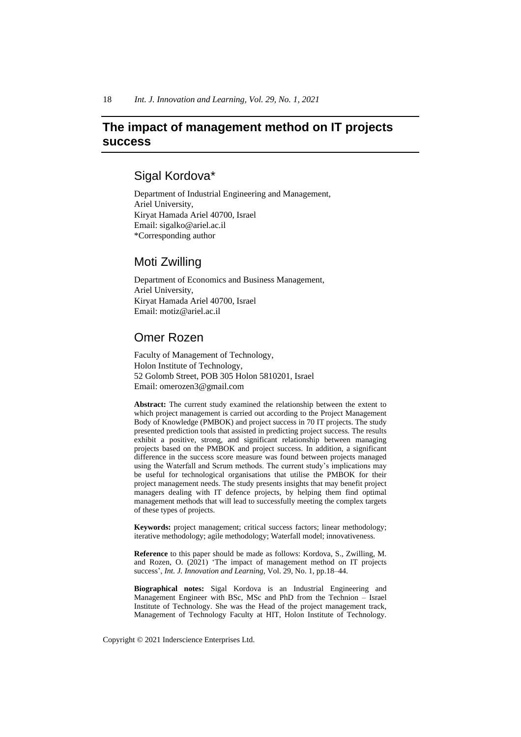# **The impact of management method on IT projects success**

# Sigal Kordova\*

Department of Industrial Engineering and Management, Ariel University, Kiryat Hamada Ariel 40700, Israel Email: sigalko@ariel.ac.il \*Corresponding author

# Moti Zwilling

Department of Economics and Business Management, Ariel University, Kiryat Hamada Ariel 40700, Israel Email: motiz@ariel.ac.il

# Omer Rozen

Faculty of Management of Technology, Holon Institute of Technology, 52 Golomb Street, POB 305 Holon 5810201, Israel Email: omerozen3@gmail.com

**Abstract:** The current study examined the relationship between the extent to which project management is carried out according to the Project Management Body of Knowledge (PMBOK) and project success in 70 IT projects. The study presented prediction tools that assisted in predicting project success. The results exhibit a positive, strong, and significant relationship between managing projects based on the PMBOK and project success. In addition, a significant difference in the success score measure was found between projects managed using the Waterfall and Scrum methods. The current study's implications may be useful for technological organisations that utilise the PMBOK for their project management needs. The study presents insights that may benefit project managers dealing with IT defence projects, by helping them find optimal management methods that will lead to successfully meeting the complex targets of these types of projects.

**Keywords:** project management; critical success factors; linear methodology; iterative methodology; agile methodology; Waterfall model; innovativeness.

**Reference** to this paper should be made as follows: Kordova, S., Zwilling, M. and Rozen, O. (2021) 'The impact of management method on IT projects success', *Int. J. Innovation and Learning*, Vol. 29, No. 1, pp.18–44.

**Biographical notes:** Sigal Kordova is an Industrial Engineering and Management Engineer with BSc, MSc and PhD from the Technion – Israel Institute of Technology. She was the Head of the project management track, Management of Technology Faculty at HIT, Holon Institute of Technology.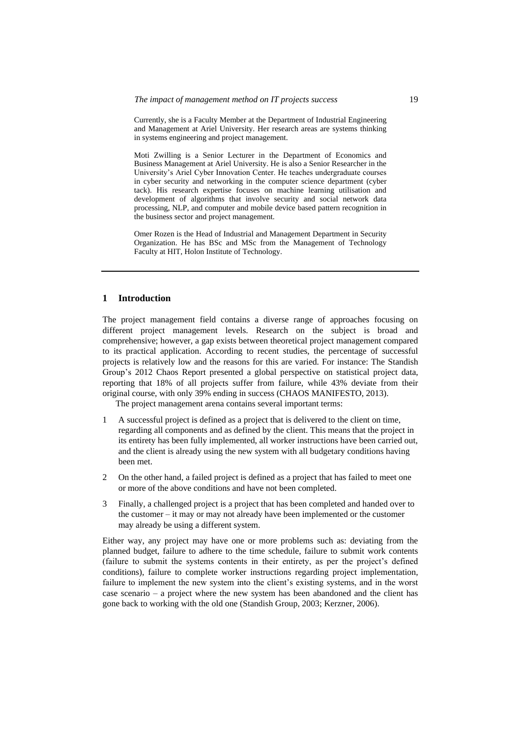Currently, she is a Faculty Member at the Department of Industrial Engineering and Management at Ariel University. Her research areas are systems thinking in systems engineering and project management.

Moti Zwilling is a Senior Lecturer in the Department of Economics and Business Management at Ariel University. He is also a Senior Researcher in the University's Ariel Cyber Innovation Center. He teaches undergraduate courses in cyber security and networking in the computer science department (cyber tack). His research expertise focuses on machine learning utilisation and development of algorithms that involve security and social network data processing, NLP, and computer and mobile device based pattern recognition in the business sector and project management.

Omer Rozen is the Head of Industrial and Management Department in Security Organization. He has BSc and MSc from the Management of Technology Faculty at HIT, Holon Institute of Technology.

#### **1 Introduction**

The project management field contains a diverse range of approaches focusing on different project management levels. Research on the subject is broad and comprehensive; however, a gap exists between theoretical project management compared to its practical application. According to recent studies, the percentage of successful projects is relatively low and the reasons for this are varied. For instance: The Standish Group's 2012 Chaos Report presented a global perspective on statistical project data, reporting that 18% of all projects suffer from failure, while 43% deviate from their original course, with only 39% ending in success (CHAOS MANIFESTO, 2013).

The project management arena contains several important terms:

- 1 A successful project is defined as a project that is delivered to the client on time, regarding all components and as defined by the client. This means that the project in its entirety has been fully implemented, all worker instructions have been carried out, and the client is already using the new system with all budgetary conditions having been met.
- 2 On the other hand, a failed project is defined as a project that has failed to meet one or more of the above conditions and have not been completed.
- 3 Finally, a challenged project is a project that has been completed and handed over to the customer – it may or may not already have been implemented or the customer may already be using a different system.

Either way, any project may have one or more problems such as: deviating from the planned budget, failure to adhere to the time schedule, failure to submit work contents (failure to submit the systems contents in their entirety, as per the project's defined conditions), failure to complete worker instructions regarding project implementation, failure to implement the new system into the client's existing systems, and in the worst case scenario – a project where the new system has been abandoned and the client has gone back to working with the old one (Standish Group, 2003; Kerzner, 2006).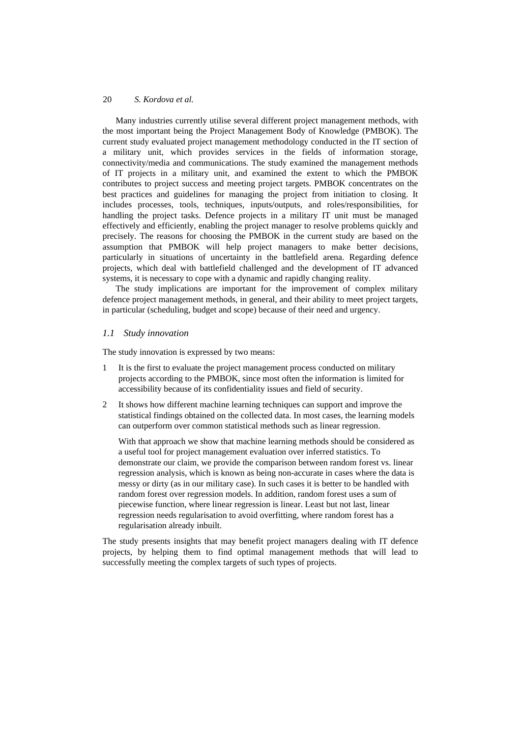Many industries currently utilise several different project management methods, with the most important being the Project Management Body of Knowledge (PMBOK). The current study evaluated project management methodology conducted in the IT section of a military unit, which provides services in the fields of information storage, connectivity/media and communications. The study examined the management methods of IT projects in a military unit, and examined the extent to which the PMBOK contributes to project success and meeting project targets. PMBOK concentrates on the best practices and guidelines for managing the project from initiation to closing. It includes processes, tools, techniques, inputs/outputs, and roles/responsibilities, for handling the project tasks. Defence projects in a military IT unit must be managed effectively and efficiently, enabling the project manager to resolve problems quickly and precisely. The reasons for choosing the PMBOK in the current study are based on the assumption that PMBOK will help project managers to make better decisions, particularly in situations of uncertainty in the battlefield arena. Regarding defence projects, which deal with battlefield challenged and the development of IT advanced systems, it is necessary to cope with a dynamic and rapidly changing reality.

The study implications are important for the improvement of complex military defence project management methods, in general, and their ability to meet project targets, in particular (scheduling, budget and scope) because of their need and urgency.

# *1.1 Study innovation*

The study innovation is expressed by two means:

- 1 It is the first to evaluate the project management process conducted on military projects according to the PMBOK, since most often the information is limited for accessibility because of its confidentiality issues and field of security.
- 2 It shows how different machine learning techniques can support and improve the statistical findings obtained on the collected data. In most cases, the learning models can outperform over common statistical methods such as linear regression.

With that approach we show that machine learning methods should be considered as a useful tool for project management evaluation over inferred statistics. To demonstrate our claim, we provide the comparison between random forest vs. linear regression analysis, which is known as being non-accurate in cases where the data is messy or dirty (as in our military case). In such cases it is better to be handled with random forest over regression models. In addition, random forest uses a sum of piecewise function, where linear regression is linear. Least but not last, linear regression needs regularisation to avoid overfitting, where random forest has a regularisation already inbuilt.

The study presents insights that may benefit project managers dealing with IT defence projects, by helping them to find optimal management methods that will lead to successfully meeting the complex targets of such types of projects.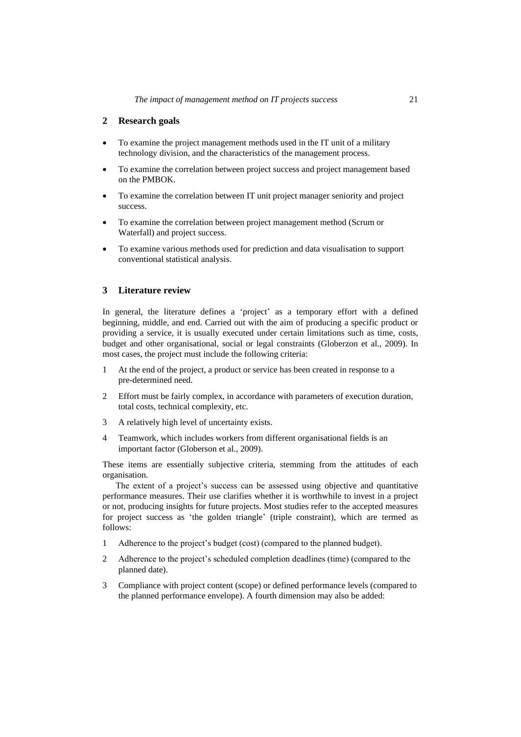# **2 Research goals**

- To examine the project management methods used in the IT unit of a military technology division, and the characteristics of the management process.
- To examine the correlation between project success and project management based on the PMBOK.
- To examine the correlation between IT unit project manager seniority and project success.
- To examine the correlation between project management method (Scrum or Waterfall) and project success.
- To examine various methods used for prediction and data visualisation to support conventional statistical analysis.

# **3 Literature review**

In general, the literature defines a 'project' as a temporary effort with a defined beginning, middle, and end. Carried out with the aim of producing a specific product or providing a service, it is usually executed under certain limitations such as time, costs, budget and other organisational, social or legal constraints (Globerzon et al., 2009). In most cases, the project must include the following criteria:

- 1 At the end of the project, a product or service has been created in response to a pre-determined need.
- 2 Effort must be fairly complex, in accordance with parameters of execution duration, total costs, technical complexity, etc.
- 3 A relatively high level of uncertainty exists.
- 4 Teamwork, which includes workers from different organisational fields is an important factor (Globerson et al., 2009).

These items are essentially subjective criteria, stemming from the attitudes of each organisation.

The extent of a project's success can be assessed using objective and quantitative performance measures. Their use clarifies whether it is worthwhile to invest in a project or not, producing insights for future projects. Most studies refer to the accepted measures for project success as 'the golden triangle' (triple constraint), which are termed as follows:

- 1 Adherence to the project's budget (cost) (compared to the planned budget).
- 2 Adherence to the project's scheduled completion deadlines (time) (compared to the planned date).
- 3 Compliance with project content (scope) or defined performance levels (compared to the planned performance envelope). A fourth dimension may also be added: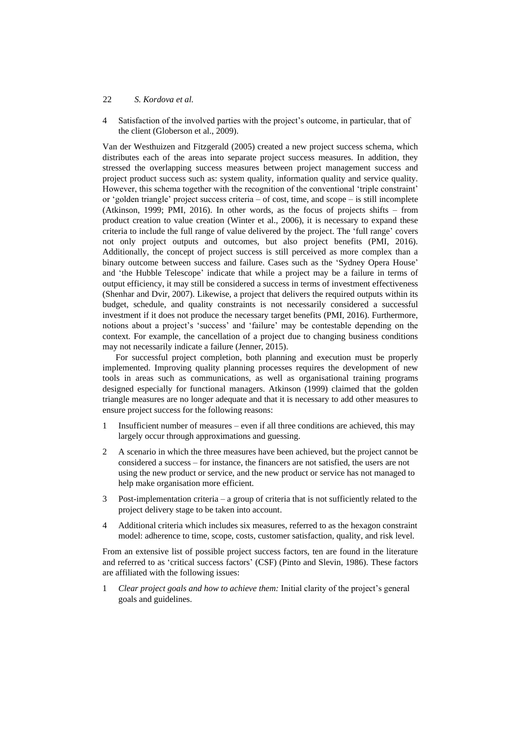### 22 *S. Kordova et al.*

4 Satisfaction of the involved parties with the project's outcome, in particular, that of the client (Globerson et al., 2009).

Van der Westhuizen and Fitzgerald (2005) created a new project success schema, which distributes each of the areas into separate project success measures. In addition, they stressed the overlapping success measures between project management success and project product success such as: system quality, information quality and service quality. However, this schema together with the recognition of the conventional 'triple constraint' or 'golden triangle' project success criteria – of cost, time, and scope – is still incomplete (Atkinson, 1999; PMI, 2016). In other words, as the focus of projects shifts – from product creation to value creation (Winter et al., 2006), it is necessary to expand these criteria to include the full range of value delivered by the project. The 'full range' covers not only project outputs and outcomes, but also project benefits (PMI, 2016). Additionally, the concept of project success is still perceived as more complex than a binary outcome between success and failure. Cases such as the 'Sydney Opera House' and 'the Hubble Telescope' indicate that while a project may be a failure in terms of output efficiency, it may still be considered a success in terms of investment effectiveness (Shenhar and Dvir, 2007). Likewise, a project that delivers the required outputs within its budget, schedule, and quality constraints is not necessarily considered a successful investment if it does not produce the necessary target benefits (PMI, 2016). Furthermore, notions about a project's 'success' and 'failure' may be contestable depending on the context. For example, the cancellation of a project due to changing business conditions may not necessarily indicate a failure (Jenner, 2015).

For successful project completion, both planning and execution must be properly implemented. Improving quality planning processes requires the development of new tools in areas such as communications, as well as organisational training programs designed especially for functional managers. Atkinson (1999) claimed that the golden triangle measures are no longer adequate and that it is necessary to add other measures to ensure project success for the following reasons:

- 1 Insufficient number of measures even if all three conditions are achieved, this may largely occur through approximations and guessing.
- 2 A scenario in which the three measures have been achieved, but the project cannot be considered a success – for instance, the financers are not satisfied, the users are not using the new product or service, and the new product or service has not managed to help make organisation more efficient.
- 3 Post-implementation criteria a group of criteria that is not sufficiently related to the project delivery stage to be taken into account.
- 4 Additional criteria which includes six measures, referred to as the hexagon constraint model: adherence to time, scope, costs, customer satisfaction, quality, and risk level.

From an extensive list of possible project success factors, ten are found in the literature and referred to as 'critical success factors' (CSF) (Pinto and Slevin, 1986). These factors are affiliated with the following issues:

1 *Clear project goals and how to achieve them:* Initial clarity of the project's general goals and guidelines.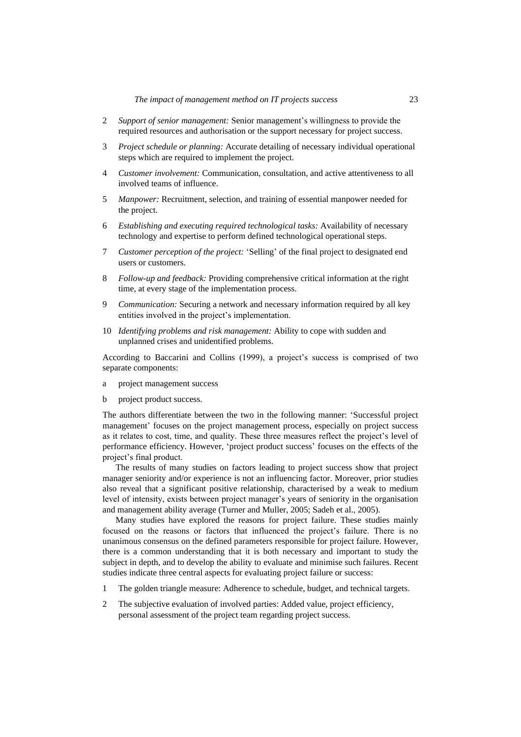- 2 *Support of senior management:* Senior management's willingness to provide the required resources and authorisation or the support necessary for project success.
- 3 *Project schedule or planning:* Accurate detailing of necessary individual operational steps which are required to implement the project.
- 4 *Customer involvement:* Communication, consultation, and active attentiveness to all involved teams of influence.
- 5 *Manpower:* Recruitment, selection, and training of essential manpower needed for the project.
- 6 *Establishing and executing required technological tasks:* Availability of necessary technology and expertise to perform defined technological operational steps.
- 7 *Customer perception of the project:* 'Selling' of the final project to designated end users or customers.
- 8 *Follow-up and feedback:* Providing comprehensive critical information at the right time, at every stage of the implementation process.
- 9 *Communication:* Securing a network and necessary information required by all key entities involved in the project's implementation.
- 10 *Identifying problems and risk management:* Ability to cope with sudden and unplanned crises and unidentified problems.

According to Baccarini and Collins (1999), a project's success is comprised of two separate components:

- a project management success
- b project product success.

The authors differentiate between the two in the following manner: 'Successful project management' focuses on the project management process, especially on project success as it relates to cost, time, and quality. These three measures reflect the project's level of performance efficiency. However, 'project product success' focuses on the effects of the project's final product.

The results of many studies on factors leading to project success show that project manager seniority and/or experience is not an influencing factor. Moreover, prior studies also reveal that a significant positive relationship, characterised by a weak to medium level of intensity, exists between project manager's years of seniority in the organisation and management ability average (Turner and Muller, 2005; Sadeh et al., 2005).

Many studies have explored the reasons for project failure. These studies mainly focused on the reasons or factors that influenced the project's failure. There is no unanimous consensus on the defined parameters responsible for project failure. However, there is a common understanding that it is both necessary and important to study the subject in depth, and to develop the ability to evaluate and minimise such failures. Recent studies indicate three central aspects for evaluating project failure or success:

- 1 The golden triangle measure: Adherence to schedule, budget, and technical targets.
- 2 The subjective evaluation of involved parties: Added value, project efficiency, personal assessment of the project team regarding project success.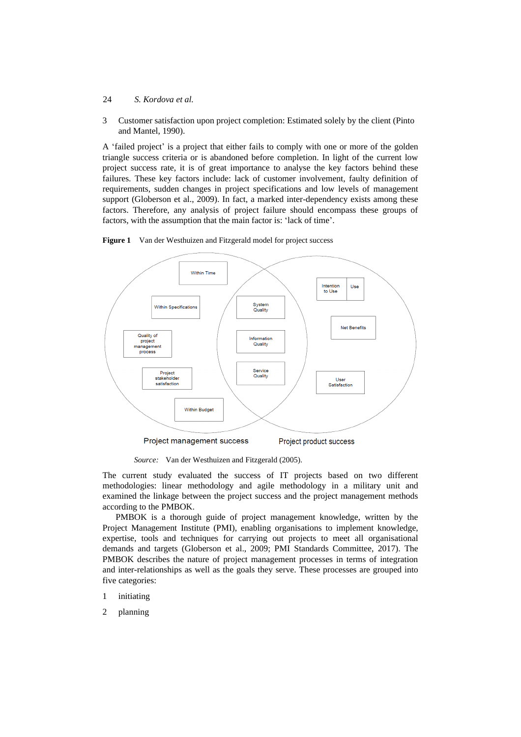### 24 *S. Kordova et al.*

3 Customer satisfaction upon project completion: Estimated solely by the client (Pinto and Mantel, 1990).

A 'failed project' is a project that either fails to comply with one or more of the golden triangle success criteria or is abandoned before completion. In light of the current low project success rate, it is of great importance to analyse the key factors behind these failures. These key factors include: lack of customer involvement, faulty definition of requirements, sudden changes in project specifications and low levels of management support (Globerson et al., 2009). In fact, a marked inter-dependency exists among these factors. Therefore, any analysis of project failure should encompass these groups of factors, with the assumption that the main factor is: 'lack of time'.



**Figure 1** Van der Westhuizen and Fitzgerald model for project success

*Source:* Van der Westhuizen and Fitzgerald (2005).

The current study evaluated the success of IT projects based on two different methodologies: linear methodology and agile methodology in a military unit and examined the linkage between the project success and the project management methods according to the PMBOK.

PMBOK is a thorough guide of project management knowledge, written by the Project Management Institute (PMI), enabling organisations to implement knowledge, expertise, tools and techniques for carrying out projects to meet all organisational demands and targets (Globerson et al., 2009; PMI Standards Committee, 2017). The PMBOK describes the nature of project management processes in terms of integration and inter-relationships as well as the goals they serve. These processes are grouped into five categories:

- 1 initiating
- 2 planning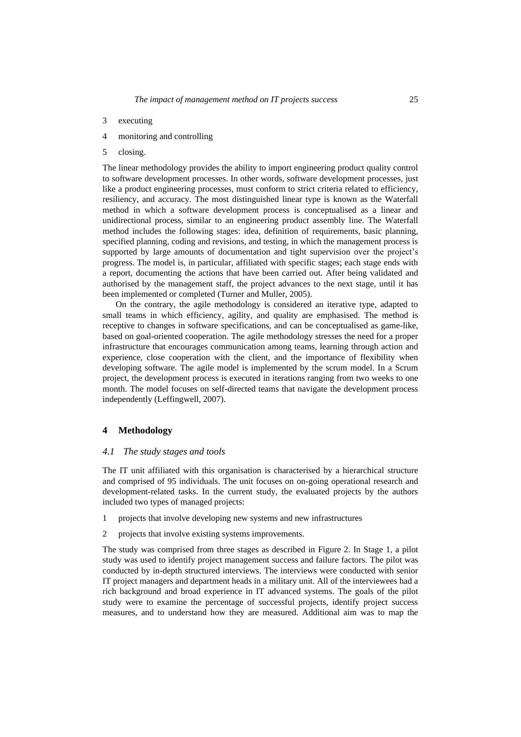- 3 executing
- 4 monitoring and controlling
- 5 closing.

The linear methodology provides the ability to import engineering product quality control to software development processes. In other words, software development processes, just like a product engineering processes, must conform to strict criteria related to efficiency, resiliency, and accuracy. The most distinguished linear type is known as the Waterfall method in which a software development process is conceptualised as a linear and unidirectional process, similar to an engineering product assembly line. The Waterfall method includes the following stages: idea, definition of requirements, basic planning, specified planning, coding and revisions, and testing, in which the management process is supported by large amounts of documentation and tight supervision over the project's progress. The model is, in particular, affiliated with specific stages; each stage ends with a report, documenting the actions that have been carried out. After being validated and authorised by the management staff, the project advances to the next stage, until it has been implemented or completed (Turner and Muller, 2005).

On the contrary, the agile methodology is considered an iterative type, adapted to small teams in which efficiency, agility, and quality are emphasised. The method is receptive to changes in software specifications, and can be conceptualised as game-like, based on goal-oriented cooperation. The agile methodology stresses the need for a proper infrastructure that encourages communication among teams, learning through action and experience, close cooperation with the client, and the importance of flexibility when developing software. The agile model is implemented by the scrum model. In a Scrum project, the development process is executed in iterations ranging from two weeks to one month. The model focuses on self-directed teams that navigate the development process independently (Leffingwell, 2007).

#### **4 Methodology**

#### *4.1 The study stages and tools*

The IT unit affiliated with this organisation is characterised by a hierarchical structure and comprised of 95 individuals. The unit focuses on on-going operational research and development-related tasks. In the current study, the evaluated projects by the authors included two types of managed projects:

- 1 projects that involve developing new systems and new infrastructures
- 2 projects that involve existing systems improvements.

The study was comprised from three stages as described in Figure 2. In Stage 1, a pilot study was used to identify project management success and failure factors. The pilot was conducted by in-depth structured interviews. The interviews were conducted with senior IT project managers and department heads in a military unit. All of the interviewees had a rich background and broad experience in IT advanced systems. The goals of the pilot study were to examine the percentage of successful projects, identify project success measures, and to understand how they are measured. Additional aim was to map the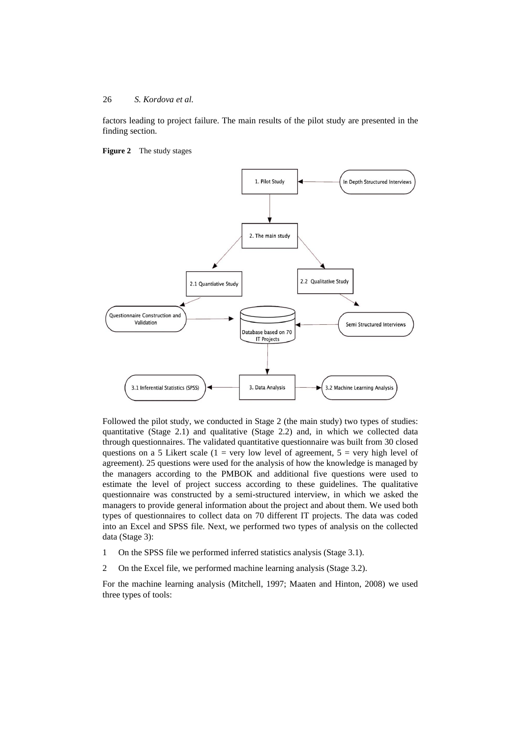factors leading to project failure. The main results of the pilot study are presented in the finding section.





Followed the pilot study, we conducted in Stage 2 (the main study) two types of studies: quantitative (Stage 2.1) and qualitative (Stage 2.2) and, in which we collected data through questionnaires. The validated quantitative questionnaire was built from 30 closed questions on a 5 Likert scale (1 = very low level of agreement,  $5$  = very high level of agreement). 25 questions were used for the analysis of how the knowledge is managed by the managers according to the PMBOK and additional five questions were used to estimate the level of project success according to these guidelines. The qualitative questionnaire was constructed by a semi-structured interview, in which we asked the managers to provide general information about the project and about them. We used both types of questionnaires to collect data on 70 different IT projects. The data was coded into an Excel and SPSS file. Next, we performed two types of analysis on the collected data (Stage 3):

1 On the SPSS file we performed inferred statistics analysis (Stage 3.1).

2 On the Excel file, we performed machine learning analysis (Stage 3.2).

For the machine learning analysis (Mitchell, 1997; Maaten and Hinton, 2008) we used three types of tools: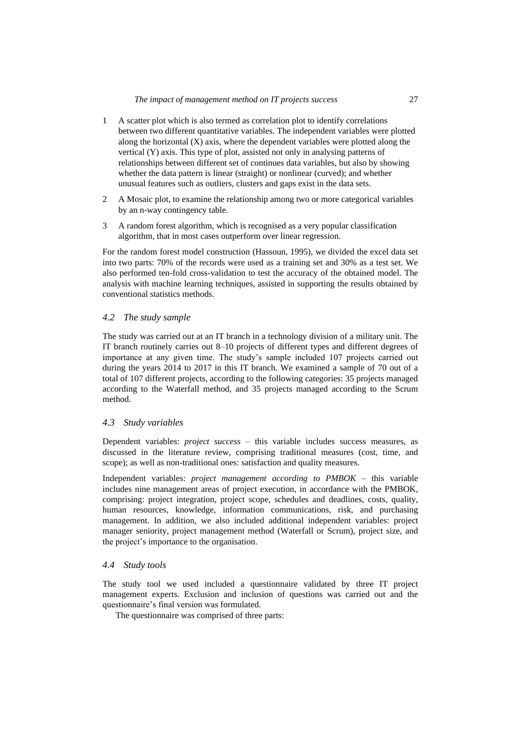- 1 A scatter plot which is also termed as correlation plot to identify correlations between two different quantitative variables. The independent variables were plotted along the horizontal  $(X)$  axis, where the dependent variables were plotted along the vertical (Y) axis. This type of plot, assisted not only in analysing patterns of relationships between different set of continues data variables, but also by showing whether the data pattern is linear (straight) or nonlinear (curved); and whether unusual features such as outliers, clusters and gaps exist in the data sets.
- 2 A Mosaic plot, to examine the relationship among two or more categorical variables by an n-way contingency table.
- 3 A random forest algorithm, which is recognised as a very popular classification algorithm, that in most cases outperform over linear regression.

For the random forest model construction (Hassoun, 1995), we divided the excel data set into two parts: 70% of the records were used as a training set and 30% as a test set. We also performed ten-fold cross-validation to test the accuracy of the obtained model. The analysis with machine learning techniques, assisted in supporting the results obtained by conventional statistics methods.

## *4.2 The study sample*

The study was carried out at an IT branch in a technology division of a military unit. The IT branch routinely carries out 8–10 projects of different types and different degrees of importance at any given time. The study's sample included 107 projects carried out during the years 2014 to 2017 in this IT branch. We examined a sample of 70 out of a total of 107 different projects, according to the following categories: 35 projects managed according to the Waterfall method, and 35 projects managed according to the Scrum method.

### *4.3 Study variables*

Dependent variables: *project success* – this variable includes success measures, as discussed in the literature review, comprising traditional measures (cost, time, and scope); as well as non-traditional ones: satisfaction and quality measures.

Independent variables: *project management according to PMBOK* – this variable includes nine management areas of project execution, in accordance with the PMBOK, comprising: project integration, project scope, schedules and deadlines, costs, quality, human resources, knowledge, information communications, risk, and purchasing management. In addition, we also included additional independent variables: project manager seniority, project management method (Waterfall or Scrum), project size, and the project's importance to the organisation.

### *4.4 Study tools*

The study tool we used included a questionnaire validated by three IT project management experts. Exclusion and inclusion of questions was carried out and the questionnaire's final version was formulated.

The questionnaire was comprised of three parts: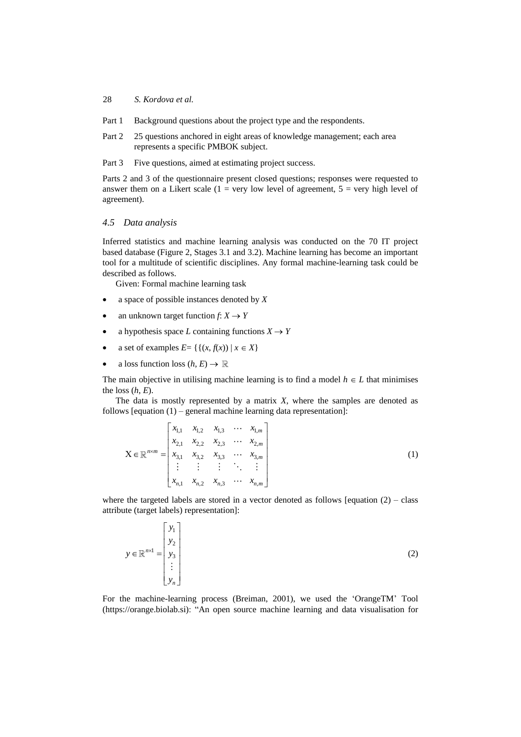- Part 1 Background questions about the project type and the respondents.
- Part 2 25 questions anchored in eight areas of knowledge management; each area represents a specific PMBOK subject.

Part 3 Five questions, aimed at estimating project success.

Parts 2 and 3 of the questionnaire present closed questions; responses were requested to answer them on a Likert scale  $(1 = \text{very low level of agreement}, 5 = \text{very high level of})$ agreement).

#### *4.5 Data analysis*

Inferred statistics and machine learning analysis was conducted on the 70 IT project based database (Figure 2, Stages 3.1 and 3.2). Machine learning has become an important tool for a multitude of scientific disciplines. Any formal machine-learning task could be described as follows.

Given: Formal machine learning task

- a space of possible instances denoted by *X*
- an unknown target function  $f: X \to Y$
- a hypothesis space *L* containing functions  $X \to Y$
- a set of examples  $E = \{ \{ (x, f(x)) \mid x \in X \} \}$
- a loss function loss  $(h, E) \to \mathbb{R}$

The main objective in utilising machine learning is to find a model  $h \in L$  that minimises the loss  $(h, E)$ .

The data is mostly represented by a matrix *X*, where the samples are denoted as

follows [equation (1) – general machine learning data representation]:  
\n
$$
X \in \mathbb{R}^{n \times m} = \begin{bmatrix} x_{1,1} & x_{1,2} & x_{1,3} & \cdots & x_{1,m} \\ x_{2,1} & x_{2,2} & x_{2,3} & \cdots & x_{2,m} \\ x_{3,1} & x_{3,2} & x_{3,3} & \cdots & x_{3,m} \\ \vdots & \vdots & \vdots & \ddots & \vdots \\ x_{n,1} & x_{n,2} & x_{n,3} & \cdots & x_{n,m} \end{bmatrix}
$$
\n(1)

where the targeted labels are stored in a vector denoted as follows [equation  $(2)$  – class attribute (target labels) representation]:

$$
y \in \mathbb{R}^{n \times 1} = \begin{bmatrix} y_1 \\ y_2 \\ y_3 \\ \vdots \\ y_n \end{bmatrix}
$$
 (2)

For the machine-learning process (Breiman, 2001), we used the 'OrangeTM' Tool (https://orange.biolab.si): "An open source machine learning and data visualisation for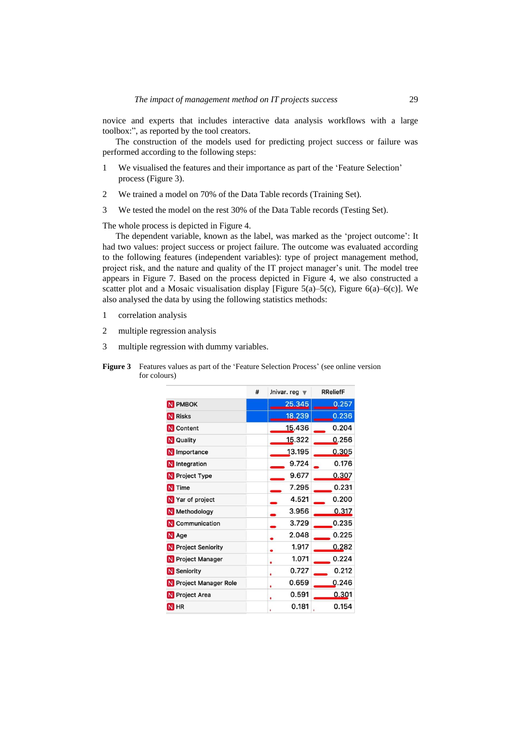novice and experts that includes interactive data analysis workflows with a large toolbox:", as reported by the tool creators.

The construction of the models used for predicting project success or failure was performed according to the following steps:

- 1 We visualised the features and their importance as part of the 'Feature Selection' process (Figure 3).
- 2 We trained a model on 70% of the Data Table records (Training Set).
- 3 We tested the model on the rest 30% of the Data Table records (Testing Set).

The whole process is depicted in Figure 4.

The dependent variable, known as the label, was marked as the 'project outcome': It had two values: project success or project failure. The outcome was evaluated according to the following features (independent variables): type of project management method, project risk, and the nature and quality of the IT project manager's unit. The model tree appears in Figure 7. Based on the process depicted in Figure 4, we also constructed a scatter plot and a Mosaic visualisation display [Figure 5(a)–5(c), Figure 6(a)–6(c)]. We also analysed the data by using the following statistics methods:

- 1 correlation analysis
- 2 multiple regression analysis
- 3 multiple regression with dummy variables.

|                        | # | Jnivar. reg $\blacktriangledown$ | <b>RReliefF</b> |
|------------------------|---|----------------------------------|-----------------|
| N PMBOK                |   | 25.345                           | 0.257           |
| <b>N</b> Risks         |   | 18.239                           | 0.236           |
| N Content              |   | 15.436                           | 0.204           |
| N Quality              |   | 15.322                           | 0.256           |
| N Importance           |   | 13.195                           | 0.305           |
| N Integration          |   | 9.724                            | 0.176           |
| N Project Type         |   | 9.677                            | 0.307           |
| N Time                 |   | 7.295                            | 0.231           |
| N Yar of project       |   | 4.521                            | 0.200           |
| <b>N</b> Methodology   |   | 3.956                            | 0.317           |
| N Communication        |   | 3.729                            | 0.235           |
| N Age                  |   | 2.048                            | 0.225           |
| N Project Seniority    |   | 1.917                            | 0.282           |
| N Project Manager      |   | 1.071<br>۰                       | 0.224           |
| N Seniority            |   | 0.727                            | 0.212           |
| N Project Manager Role |   | 0.659                            | 0.246           |
| N Project Area         |   | 0.591                            | 0.301           |
| N <sub>HR</sub>        |   | 0.181<br>٠                       | 0.154           |

**Figure 3** Features values as part of the 'Feature Selection Process' (see online version for colours)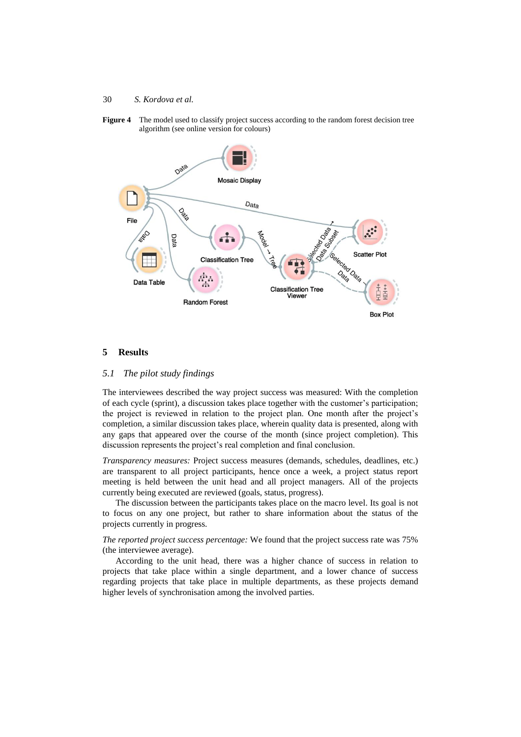**Figure 4** The model used to classify project success according to the random forest decision tree algorithm (see online version for colours)



#### **5 Results**

#### *5.1 The pilot study findings*

The interviewees described the way project success was measured: With the completion of each cycle (sprint), a discussion takes place together with the customer's participation; the project is reviewed in relation to the project plan. One month after the project's completion, a similar discussion takes place, wherein quality data is presented, along with any gaps that appeared over the course of the month (since project completion). This discussion represents the project's real completion and final conclusion.

*Transparency measures:* Project success measures (demands, schedules, deadlines, etc.) are transparent to all project participants, hence once a week, a project status report meeting is held between the unit head and all project managers. All of the projects currently being executed are reviewed (goals, status, progress).

The discussion between the participants takes place on the macro level. Its goal is not to focus on any one project, but rather to share information about the status of the projects currently in progress.

*The reported project success percentage:* We found that the project success rate was 75% (the interviewee average).

According to the unit head, there was a higher chance of success in relation to projects that take place within a single department, and a lower chance of success regarding projects that take place in multiple departments, as these projects demand higher levels of synchronisation among the involved parties.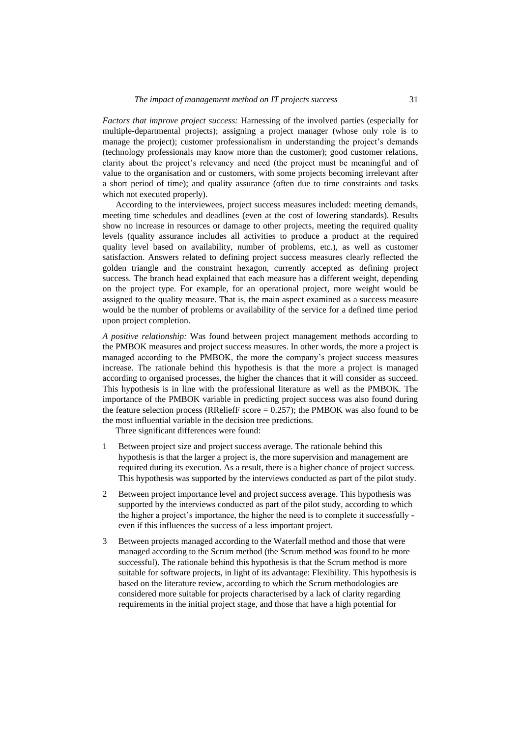*Factors that improve project success:* Harnessing of the involved parties (especially for multiple-departmental projects); assigning a project manager (whose only role is to manage the project); customer professionalism in understanding the project's demands (technology professionals may know more than the customer); good customer relations, clarity about the project's relevancy and need (the project must be meaningful and of value to the organisation and or customers, with some projects becoming irrelevant after a short period of time); and quality assurance (often due to time constraints and tasks which not executed properly).

According to the interviewees, project success measures included: meeting demands, meeting time schedules and deadlines (even at the cost of lowering standards). Results show no increase in resources or damage to other projects, meeting the required quality levels (quality assurance includes all activities to produce a product at the required quality level based on availability, number of problems, etc.), as well as customer satisfaction. Answers related to defining project success measures clearly reflected the golden triangle and the constraint hexagon, currently accepted as defining project success. The branch head explained that each measure has a different weight, depending on the project type. For example, for an operational project, more weight would be assigned to the quality measure. That is, the main aspect examined as a success measure would be the number of problems or availability of the service for a defined time period upon project completion.

*A positive relationship:* Was found between project management methods according to the PMBOK measures and project success measures. In other words, the more a project is managed according to the PMBOK, the more the company's project success measures increase. The rationale behind this hypothesis is that the more a project is managed according to organised processes, the higher the chances that it will consider as succeed. This hypothesis is in line with the professional literature as well as the PMBOK. The importance of the PMBOK variable in predicting project success was also found during the feature selection process (RReliefF score  $= 0.257$ ); the PMBOK was also found to be the most influential variable in the decision tree predictions.

Three significant differences were found:

- 1 Between project size and project success average. The rationale behind this hypothesis is that the larger a project is, the more supervision and management are required during its execution. As a result, there is a higher chance of project success. This hypothesis was supported by the interviews conducted as part of the pilot study.
- 2 Between project importance level and project success average. This hypothesis was supported by the interviews conducted as part of the pilot study, according to which the higher a project's importance, the higher the need is to complete it successfully even if this influences the success of a less important project.
- 3 Between projects managed according to the Waterfall method and those that were managed according to the Scrum method (the Scrum method was found to be more successful). The rationale behind this hypothesis is that the Scrum method is more suitable for software projects, in light of its advantage: Flexibility. This hypothesis is based on the literature review, according to which the Scrum methodologies are considered more suitable for projects characterised by a lack of clarity regarding requirements in the initial project stage, and those that have a high potential for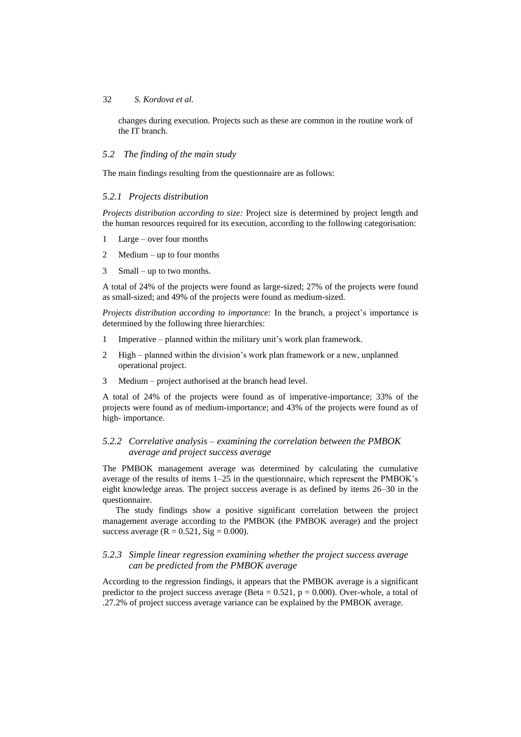### 32 *S. Kordova et al.*

changes during execution. Projects such as these are common in the routine work of the IT branch.

## *5.2 The finding of the main study*

The main findings resulting from the questionnaire are as follows:

# *5.2.1 Projects distribution*

*Projects distribution according to size:* Project size is determined by project length and the human resources required for its execution, according to the following categorisation:

- 1 Large over four months
- 2 Medium up to four months
- 3 Small up to two months.

A total of 24% of the projects were found as large-sized; 27% of the projects were found as small-sized; and 49% of the projects were found as medium-sized.

*Projects distribution according to importance:* In the branch, a project's importance is determined by the following three hierarchies:

- 1 Imperative planned within the military unit's work plan framework.
- 2 High planned within the division's work plan framework or a new, unplanned operational project.
- 3 Medium project authorised at the branch head level.

A total of 24% of the projects were found as of imperative-importance; 33% of the projects were found as of medium-importance; and 43% of the projects were found as of high- importance.

# *5.2.2 Correlative analysis – examining the correlation between the PMBOK average and project success average*

The PMBOK management average was determined by calculating the cumulative average of the results of items 1–25 in the questionnaire, which represent the PMBOK's eight knowledge areas. The project success average is as defined by items 26–30 in the questionnaire.

The study findings show a positive significant correlation between the project management average according to the PMBOK (the PMBOK average) and the project success average ( $R = 0.521$ , Sig = 0.000).

# *5.2.3 Simple linear regression examining whether the project success average can be predicted from the PMBOK average*

According to the regression findings, it appears that the PMBOK average is a significant predictor to the project success average (Beta =  $0.521$ , p =  $0.000$ ). Over-whole, a total of .27.2% of project success average variance can be explained by the PMBOK average.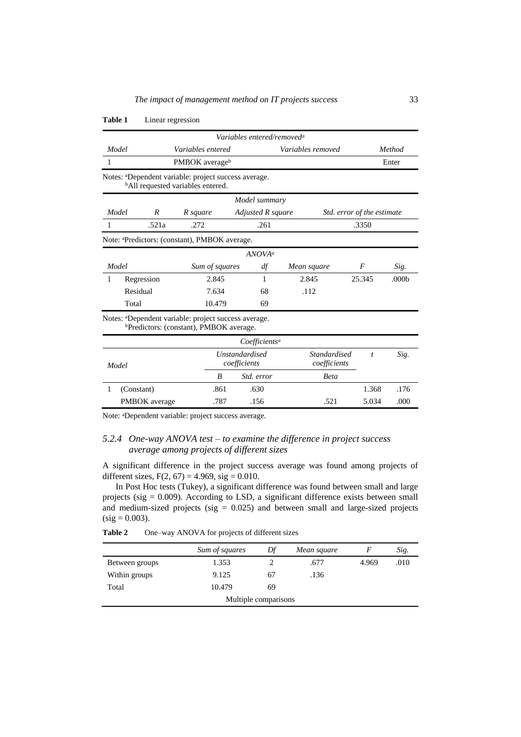|                                             |            |                                                                                                                         | Variables entered/removed <sup>a</sup> |                              |                  |                   |  |
|---------------------------------------------|------------|-------------------------------------------------------------------------------------------------------------------------|----------------------------------------|------------------------------|------------------|-------------------|--|
| Model                                       |            | Variables entered                                                                                                       |                                        | Variables removed            |                  | Method            |  |
| 1                                           |            | PMBOK averageb                                                                                                          |                                        |                              |                  | Enter             |  |
|                                             |            | Notes: <sup>a</sup> Dependent variable: project success average.<br><sup>b</sup> All requested variables entered.       |                                        |                              |                  |                   |  |
|                                             |            |                                                                                                                         | Model summary                          |                              |                  |                   |  |
| Model<br>R<br>R square<br>Adjusted R square |            |                                                                                                                         | Std. error of the estimate             |                              |                  |                   |  |
|                                             | .521a      | .272                                                                                                                    | .261                                   |                              | .3350            |                   |  |
|                                             |            | Note: <sup>a</sup> Predictors: (constant), PMBOK average.                                                               |                                        |                              |                  |                   |  |
|                                             |            |                                                                                                                         | ANOVA <sup>a</sup>                     |                              |                  |                   |  |
| Model                                       |            | Sum of squares                                                                                                          | df                                     | Mean square                  | F                | Sig.              |  |
| 1                                           | Regression | 2.845                                                                                                                   | 1                                      | 2.845                        | 25.345           | .000 <sub>b</sub> |  |
|                                             | Residual   | 7.634                                                                                                                   | 68                                     | .112                         |                  |                   |  |
|                                             | Total      | 10.479                                                                                                                  | 69                                     |                              |                  |                   |  |
|                                             |            | Notes: <sup>a</sup> Dependent variable: project success average.<br><sup>b</sup> Predictors: (constant), PMBOK average. |                                        |                              |                  |                   |  |
|                                             |            |                                                                                                                         | Coefficients <sup>a</sup>              |                              |                  |                   |  |
| Model                                       |            |                                                                                                                         | <b>Unstandardised</b><br>coefficients  | Standardised<br>coefficients | $\boldsymbol{t}$ | Sig.              |  |
|                                             |            | B                                                                                                                       | Std. error                             | <b>Beta</b>                  |                  |                   |  |

#### **Table 1** Linear regression

Note: <sup>a</sup>Dependent variable: project success average.

## *5.2.4 One-way ANOVA test – to examine the difference in project success average among projects of different sizes*

A significant difference in the project success average was found among projects of different sizes,  $F(2, 67) = 4.969$ , sig = 0.010.

1 (Constant) .861 .630 1.368 .176 PMBOK average .787 .156 .521 5.034 .000

In Post Hoc tests (Tukey), a significant difference was found between small and large projects (sig  $= 0.009$ ). According to LSD, a significant difference exists between small and medium-sized projects (sig  $= 0.025$ ) and between small and large-sized projects  $(sig = 0.003)$ .

Table 2 One–way ANOVA for projects of different sizes

|                      | Sum of squares | Df | Mean square |       | Sig. |
|----------------------|----------------|----|-------------|-------|------|
| Between groups       | 1.353          |    | .677        | 4.969 | .010 |
| Within groups        | 9.125          | 67 | .136        |       |      |
| Total                | 10.479         | 69 |             |       |      |
| Multiple comparisons |                |    |             |       |      |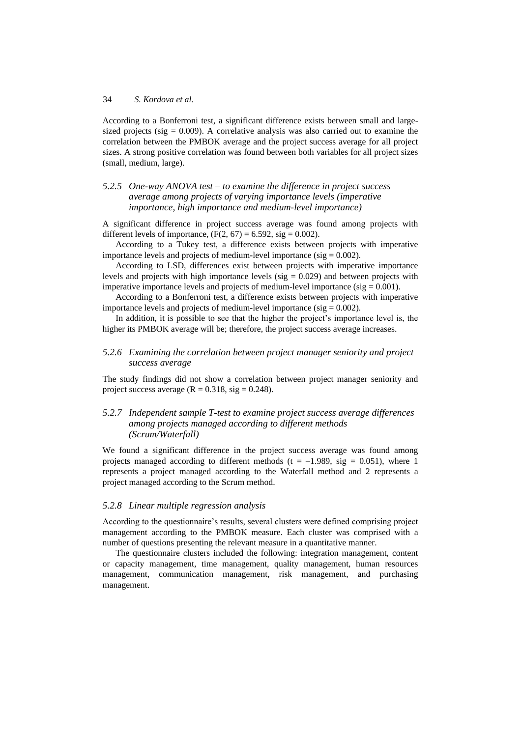According to a Bonferroni test, a significant difference exists between small and largesized projects (sig  $= 0.009$ ). A correlative analysis was also carried out to examine the correlation between the PMBOK average and the project success average for all project sizes. A strong positive correlation was found between both variables for all project sizes (small, medium, large).

# *5.2.5 One-way ANOVA test – to examine the difference in project success average among projects of varying importance levels (imperative importance, high importance and medium-level importance)*

A significant difference in project success average was found among projects with different levels of importance,  $(F(2, 67) = 6.592, sig = 0.002)$ .

According to a Tukey test, a difference exists between projects with imperative importance levels and projects of medium-level importance ( $sig = 0.002$ ).

According to LSD, differences exist between projects with imperative importance levels and projects with high importance levels ( $sig = 0.029$ ) and between projects with imperative importance levels and projects of medium-level importance ( $sig = 0.001$ ).

According to a Bonferroni test, a difference exists between projects with imperative importance levels and projects of medium-level importance ( $sig = 0.002$ ).

In addition, it is possible to see that the higher the project's importance level is, the higher its PMBOK average will be; therefore, the project success average increases.

# *5.2.6 Examining the correlation between project manager seniority and project success average*

The study findings did not show a correlation between project manager seniority and project success average  $(R = 0.318, sig = 0.248)$ .

# *5.2.7 Independent sample T-test to examine project success average differences among projects managed according to different methods (Scrum/Waterfall)*

We found a significant difference in the project success average was found among projects managed according to different methods (t =  $-1.989$ , sig = 0.051), where 1 represents a project managed according to the Waterfall method and 2 represents a project managed according to the Scrum method.

# *5.2.8 Linear multiple regression analysis*

According to the questionnaire's results, several clusters were defined comprising project management according to the PMBOK measure. Each cluster was comprised with a number of questions presenting the relevant measure in a quantitative manner.

The questionnaire clusters included the following: integration management, content or capacity management, time management, quality management, human resources management, communication management, risk management, and purchasing management.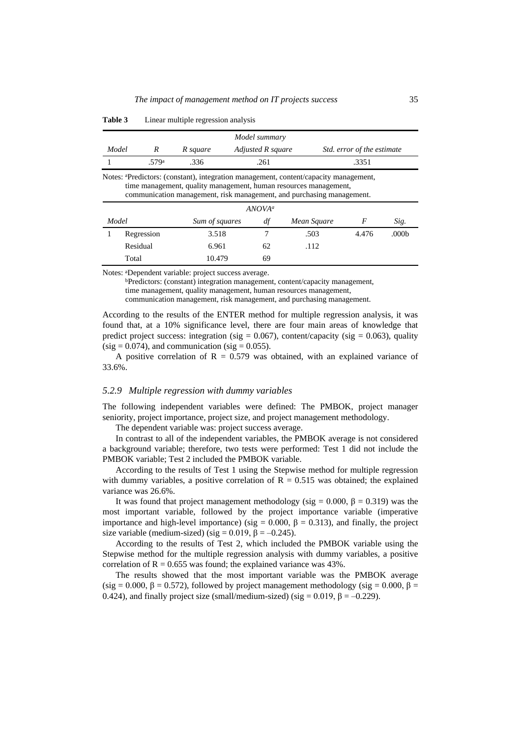| Model summary |                                                                                                                                                                                                                                                                     |                |                   |             |                            |                   |  |  |  |
|---------------|---------------------------------------------------------------------------------------------------------------------------------------------------------------------------------------------------------------------------------------------------------------------|----------------|-------------------|-------------|----------------------------|-------------------|--|--|--|
| Model         | R                                                                                                                                                                                                                                                                   | R square       | Adjusted R square |             | Std. error of the estimate |                   |  |  |  |
|               | .579a                                                                                                                                                                                                                                                               | .336           | .261              |             | .3351                      |                   |  |  |  |
|               | Notes: <sup>a</sup> Predictors: (constant), integration management, content/capacity management,<br>time management, quality management, human resources management,<br>communication management, risk management, and purchasing management.<br>ANOVA <sup>a</sup> |                |                   |             |                            |                   |  |  |  |
| Model         |                                                                                                                                                                                                                                                                     | Sum of squares | df                | Mean Square | F                          | Sig.              |  |  |  |
|               | Regression                                                                                                                                                                                                                                                          | 3.518          | 7                 | .503        | 4.476                      | .000 <sub>b</sub> |  |  |  |
|               | Residual                                                                                                                                                                                                                                                            | 6.961          | 62                | .112        |                            |                   |  |  |  |
|               | Total                                                                                                                                                                                                                                                               | 10.479         | 69                |             |                            |                   |  |  |  |

**Table 3** Linear multiple regression analysis

Notes: <sup>a</sup>Dependent variable: project success average.

<sup>b</sup>Predictors: (constant) integration management, content/capacity management, time management, quality management, human resources management, communication management, risk management, and purchasing management.

According to the results of the ENTER method for multiple regression analysis, it was found that, at a 10% significance level, there are four main areas of knowledge that predict project success: integration (sig =  $0.067$ ), content/capacity (sig = 0.063), quality  $(sig = 0.074)$ , and communication  $(sig = 0.055)$ .

A positive correlation of  $R = 0.579$  was obtained, with an explained variance of 33.6%.

#### *5.2.9 Multiple regression with dummy variables*

The following independent variables were defined: The PMBOK, project manager seniority, project importance, project size, and project management methodology.

The dependent variable was: project success average.

In contrast to all of the independent variables, the PMBOK average is not considered a background variable; therefore, two tests were performed: Test 1 did not include the PMBOK variable; Test 2 included the PMBOK variable.

According to the results of Test 1 using the Stepwise method for multiple regression with dummy variables, a positive correlation of  $R = 0.515$  was obtained; the explained variance was 26.6%.

It was found that project management methodology (sig = 0.000,  $β = 0.319$ ) was the most important variable, followed by the project importance variable (imperative importance and high-level importance) (sig =  $0.000$ ,  $\beta$  = 0.313), and finally, the project size variable (medium-sized) (sig =  $0.019$ ,  $\beta$  =  $-0.245$ ).

According to the results of Test 2, which included the PMBOK variable using the Stepwise method for the multiple regression analysis with dummy variables, a positive correlation of  $R = 0.655$  was found; the explained variance was 43%.

The results showed that the most important variable was the PMBOK average (sig = 0.000,  $\beta$  = 0.572), followed by project management methodology (sig = 0.000,  $\beta$  = 0.424), and finally project size (small/medium-sized) (sig =  $0.019$ ,  $\beta$  =  $-0.229$ ).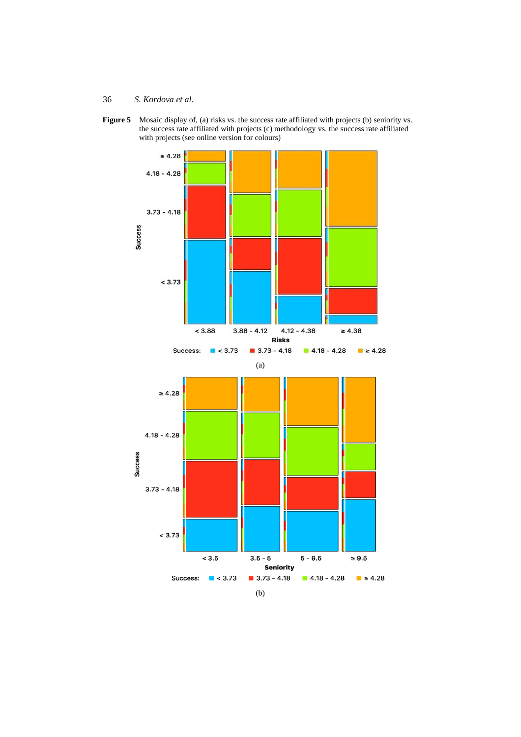Figure 5 Mosaic display of, (a) risks vs. the success rate affiliated with projects (b) seniority vs. the success rate affiliated with projects (c) methodology vs. the success rate affiliated with projects (see online version for colours)

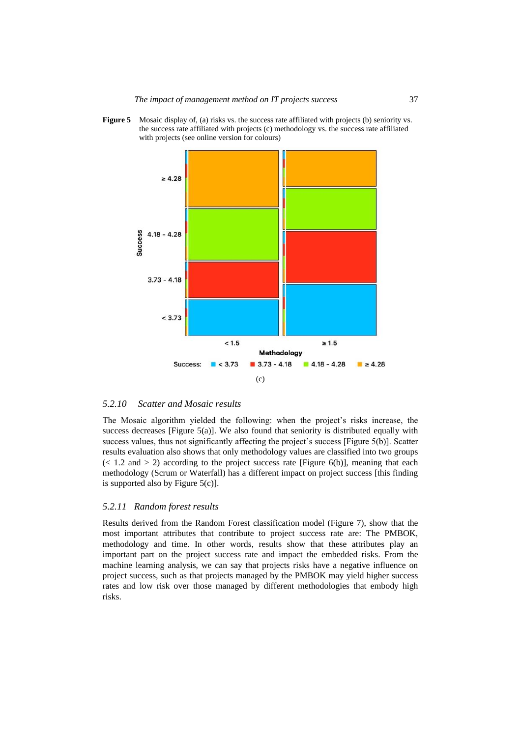**Figure 5** Mosaic display of, (a) risks vs. the success rate affiliated with projects (b) seniority vs. the success rate affiliated with projects (c) methodology vs. the success rate affiliated with projects (see online version for colours)



### *5.2.10 Scatter and Mosaic results*

The Mosaic algorithm yielded the following: when the project's risks increase, the success decreases [Figure 5(a)]. We also found that seniority is distributed equally with success values, thus not significantly affecting the project's success [Figure 5(b)]. Scatter results evaluation also shows that only methodology values are classified into two groups  $(< 1.2$  and  $> 2$ ) according to the project success rate [Figure 6(b)], meaning that each methodology (Scrum or Waterfall) has a different impact on project success [this finding is supported also by Figure 5(c)].

#### *5.2.11 Random forest results*

Results derived from the Random Forest classification model (Figure 7), show that the most important attributes that contribute to project success rate are: The PMBOK, methodology and time. In other words, results show that these attributes play an important part on the project success rate and impact the embedded risks. From the machine learning analysis, we can say that projects risks have a negative influence on project success, such as that projects managed by the PMBOK may yield higher success rates and low risk over those managed by different methodologies that embody high risks.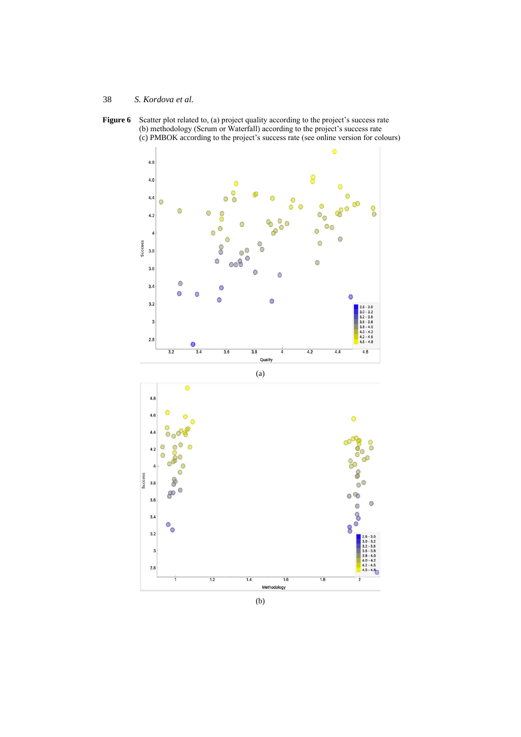





(b)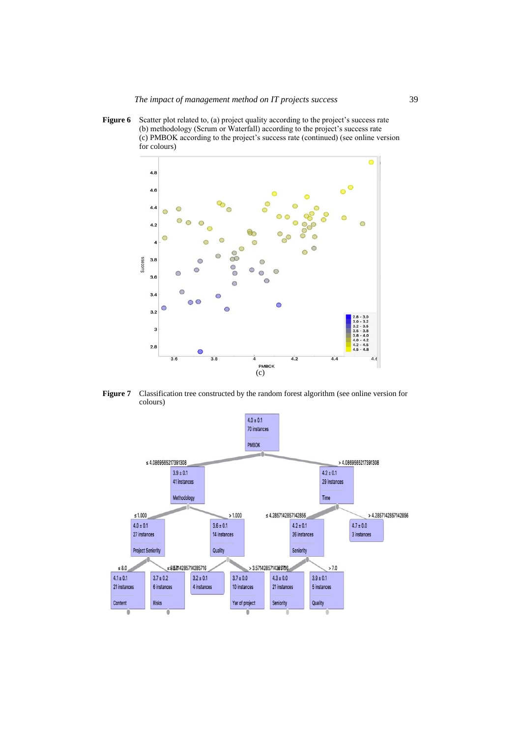Figure 6 Scatter plot related to, (a) project quality according to the project's success rate (b) methodology (Scrum or Waterfall) according to the project's success rate (c) PMBOK according to the project's success rate (continued) (see online version for colours)



**Figure 7** Classification tree constructed by the random forest algorithm (see online version for colours)

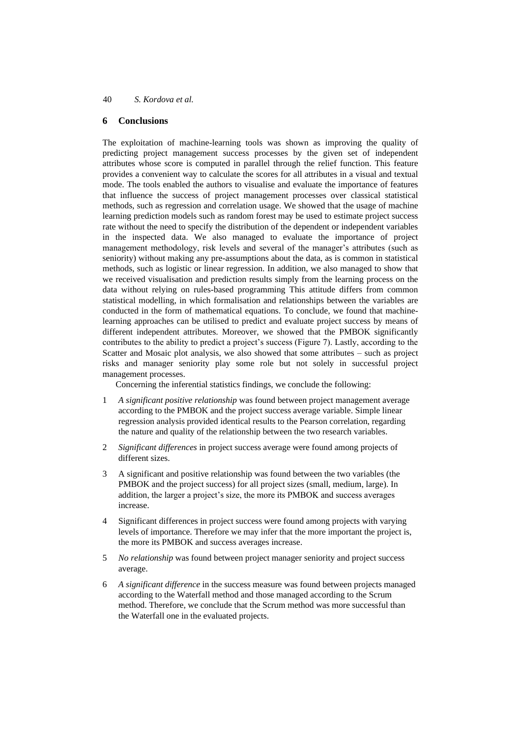# **6 Conclusions**

The exploitation of machine-learning tools was shown as improving the quality of predicting project management success processes by the given set of independent attributes whose score is computed in parallel through the relief function. This feature provides a convenient way to calculate the scores for all attributes in a visual and textual mode. The tools enabled the authors to visualise and evaluate the importance of features that influence the success of project management processes over classical statistical methods, such as regression and correlation usage. We showed that the usage of machine learning prediction models such as random forest may be used to estimate project success rate without the need to specify the distribution of the dependent or independent variables in the inspected data. We also managed to evaluate the importance of project management methodology, risk levels and several of the manager's attributes (such as seniority) without making any pre-assumptions about the data, as is common in statistical methods, such as logistic or linear regression. In addition, we also managed to show that we received visualisation and prediction results simply from the learning process on the data without relying on rules-based programming This attitude differs from common statistical modelling, in which formalisation and relationships between the variables are conducted in the form of mathematical equations. To conclude, we found that machinelearning approaches can be utilised to predict and evaluate project success by means of different independent attributes. Moreover, we showed that the PMBOK significantly contributes to the ability to predict a project's success (Figure 7). Lastly, according to the Scatter and Mosaic plot analysis, we also showed that some attributes – such as project risks and manager seniority play some role but not solely in successful project management processes.

Concerning the inferential statistics findings, we conclude the following:

- 1 *A significant positive relationship* was found between project management average according to the PMBOK and the project success average variable. Simple linear regression analysis provided identical results to the Pearson correlation, regarding the nature and quality of the relationship between the two research variables.
- 2 *Significant differences* in project success average were found among projects of different sizes.
- 3 A significant and positive relationship was found between the two variables (the PMBOK and the project success) for all project sizes (small, medium, large). In addition, the larger a project's size, the more its PMBOK and success averages increase.
- 4 Significant differences in project success were found among projects with varying levels of importance. Therefore we may infer that the more important the project is, the more its PMBOK and success averages increase.
- 5 *No relationship* was found between project manager seniority and project success average.
- 6 *A significant difference* in the success measure was found between projects managed according to the Waterfall method and those managed according to the Scrum method. Therefore, we conclude that the Scrum method was more successful than the Waterfall one in the evaluated projects.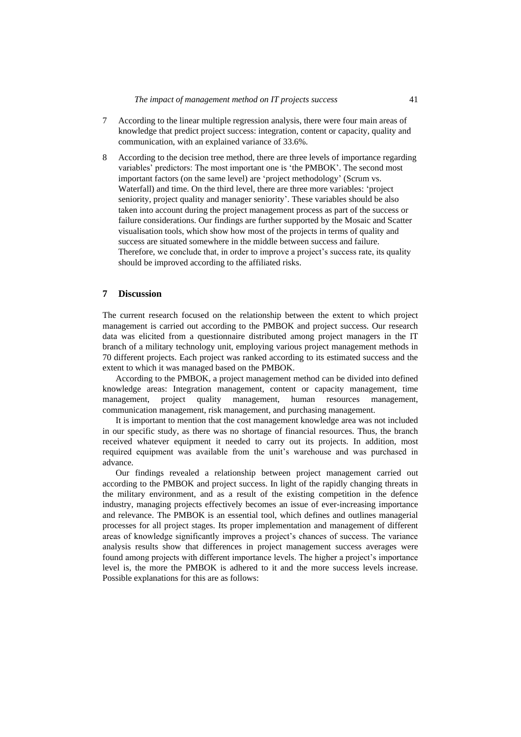- 7 According to the linear multiple regression analysis, there were four main areas of knowledge that predict project success: integration, content or capacity, quality and communication, with an explained variance of 33.6%.
- 8 According to the decision tree method, there are three levels of importance regarding variables' predictors: The most important one is 'the PMBOK'. The second most important factors (on the same level) are 'project methodology' (Scrum vs. Waterfall) and time. On the third level, there are three more variables: 'project seniority, project quality and manager seniority'. These variables should be also taken into account during the project management process as part of the success or failure considerations. Our findings are further supported by the Mosaic and Scatter visualisation tools, which show how most of the projects in terms of quality and success are situated somewhere in the middle between success and failure. Therefore, we conclude that, in order to improve a project's success rate, its quality should be improved according to the affiliated risks.

#### **7 Discussion**

The current research focused on the relationship between the extent to which project management is carried out according to the PMBOK and project success. Our research data was elicited from a questionnaire distributed among project managers in the IT branch of a military technology unit, employing various project management methods in 70 different projects. Each project was ranked according to its estimated success and the extent to which it was managed based on the PMBOK.

According to the PMBOK, a project management method can be divided into defined knowledge areas: Integration management, content or capacity management, time management, project quality management, human resources management, communication management, risk management, and purchasing management.

It is important to mention that the cost management knowledge area was not included in our specific study, as there was no shortage of financial resources. Thus, the branch received whatever equipment it needed to carry out its projects. In addition, most required equipment was available from the unit's warehouse and was purchased in advance.

Our findings revealed a relationship between project management carried out according to the PMBOK and project success. In light of the rapidly changing threats in the military environment, and as a result of the existing competition in the defence industry, managing projects effectively becomes an issue of ever-increasing importance and relevance. The PMBOK is an essential tool, which defines and outlines managerial processes for all project stages. Its proper implementation and management of different areas of knowledge significantly improves a project's chances of success. The variance analysis results show that differences in project management success averages were found among projects with different importance levels. The higher a project's importance level is, the more the PMBOK is adhered to it and the more success levels increase. Possible explanations for this are as follows: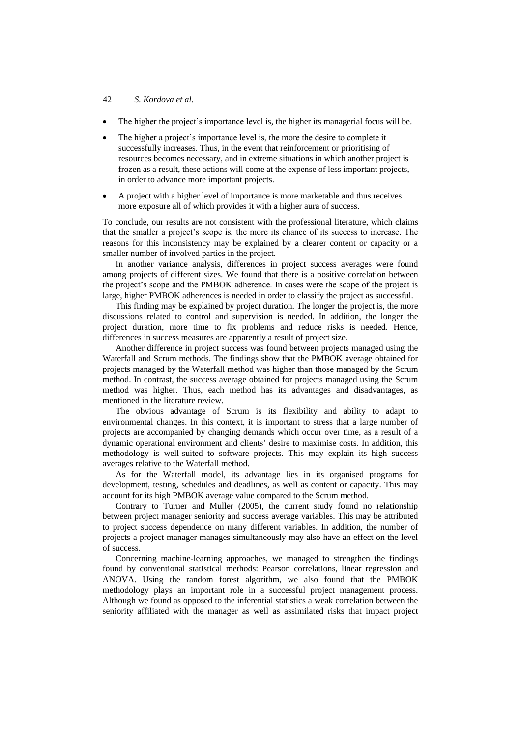#### 42 *S. Kordova et al.*

- The higher the project's importance level is, the higher its managerial focus will be.
- The higher a project's importance level is, the more the desire to complete it successfully increases. Thus, in the event that reinforcement or prioritising of resources becomes necessary, and in extreme situations in which another project is frozen as a result, these actions will come at the expense of less important projects, in order to advance more important projects.
- A project with a higher level of importance is more marketable and thus receives more exposure all of which provides it with a higher aura of success.

To conclude, our results are not consistent with the professional literature, which claims that the smaller a project's scope is, the more its chance of its success to increase. The reasons for this inconsistency may be explained by a clearer content or capacity or a smaller number of involved parties in the project.

In another variance analysis, differences in project success averages were found among projects of different sizes. We found that there is a positive correlation between the project's scope and the PMBOK adherence. In cases were the scope of the project is large, higher PMBOK adherences is needed in order to classify the project as successful.

This finding may be explained by project duration. The longer the project is, the more discussions related to control and supervision is needed. In addition, the longer the project duration, more time to fix problems and reduce risks is needed. Hence, differences in success measures are apparently a result of project size.

Another difference in project success was found between projects managed using the Waterfall and Scrum methods. The findings show that the PMBOK average obtained for projects managed by the Waterfall method was higher than those managed by the Scrum method. In contrast, the success average obtained for projects managed using the Scrum method was higher. Thus, each method has its advantages and disadvantages, as mentioned in the literature review.

The obvious advantage of Scrum is its flexibility and ability to adapt to environmental changes. In this context, it is important to stress that a large number of projects are accompanied by changing demands which occur over time, as a result of a dynamic operational environment and clients' desire to maximise costs. In addition, this methodology is well-suited to software projects. This may explain its high success averages relative to the Waterfall method.

As for the Waterfall model, its advantage lies in its organised programs for development, testing, schedules and deadlines, as well as content or capacity. This may account for its high PMBOK average value compared to the Scrum method.

Contrary to Turner and Muller (2005), the current study found no relationship between project manager seniority and success average variables. This may be attributed to project success dependence on many different variables. In addition, the number of projects a project manager manages simultaneously may also have an effect on the level of success.

Concerning machine-learning approaches, we managed to strengthen the findings found by conventional statistical methods: Pearson correlations, linear regression and ANOVA. Using the random forest algorithm, we also found that the PMBOK methodology plays an important role in a successful project management process. Although we found as opposed to the inferential statistics a weak correlation between the seniority affiliated with the manager as well as assimilated risks that impact project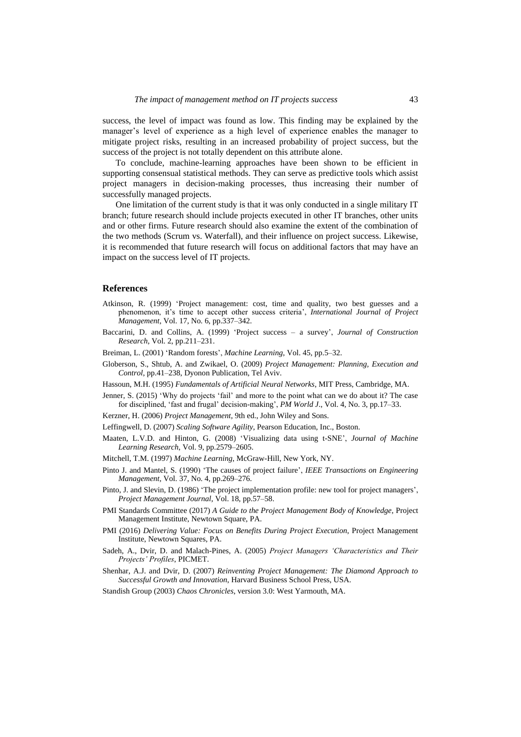success, the level of impact was found as low. This finding may be explained by the manager's level of experience as a high level of experience enables the manager to mitigate project risks, resulting in an increased probability of project success, but the success of the project is not totally dependent on this attribute alone.

To conclude, machine-learning approaches have been shown to be efficient in supporting consensual statistical methods. They can serve as predictive tools which assist project managers in decision-making processes, thus increasing their number of successfully managed projects.

One limitation of the current study is that it was only conducted in a single military IT branch; future research should include projects executed in other IT branches, other units and or other firms. Future research should also examine the extent of the combination of the two methods (Scrum vs. Waterfall), and their influence on project success. Likewise, it is recommended that future research will focus on additional factors that may have an impact on the success level of IT projects.

#### **References**

- Atkinson, R. (1999) 'Project management: cost, time and quality, two best guesses and a phenomenon, it's time to accept other success criteria', *International Journal of Project Management*, Vol. 17, No. 6, pp.337–342.
- Baccarini, D. and Collins, A. (1999) 'Project success a survey', *Journal of Construction Research*, Vol. 2, pp.211–231.
- Breiman, L. (2001) 'Random forests', *Machine Learning*, Vol. 45, pp.5–32.
- Globerson, S., Shtub, A. and Zwikael, O. (2009) *Project Management: Planning, Execution and Control*, pp.41–238, Dyonon Publication, Tel Aviv.
- Hassoun, M.H. (1995) *Fundamentals of Artificial Neural Networks*, MIT Press, Cambridge, MA.
- Jenner, S. (2015) 'Why do projects 'fail' and more to the point what can we do about it? The case for disciplined, 'fast and frugal' decision-making', *PM World J*., Vol. 4, No. 3, pp.17–33.
- Kerzner, H. (2006) *Project Management*, 9th ed., John Wiley and Sons.
- Leffingwell, D. (2007) *Scaling Software Agility*, Pearson Education, Inc., Boston.
- Maaten, L.V.D. and Hinton, G. (2008) 'Visualizing data using t-SNE', *Journal of Machine Learning Research*, Vol. 9, pp.2579–2605.
- Mitchell, T.M. (1997) *Machine Learning*, McGraw-Hill, New York, NY.
- Pinto J. and Mantel, S. (1990) 'The causes of project failure', *IEEE Transactions on Engineering Management*, Vol. 37, No. 4, pp.269–276.
- Pinto, J. and Slevin, D. (1986) 'The project implementation profile: new tool for project managers', *Project Management Journal*, Vol. 18, pp.57–58.
- PMI Standards Committee (2017) *A Guide to the Project Management Body of Knowledge*, Project Management Institute, Newtown Square, PA.
- PMI (2016) *Delivering Value: Focus on Benefits During Project Execution*, Project Management Institute, Newtown Squares, PA.
- Sadeh, A., Dvir, D. and Malach-Pines, A. (2005) *Project Managers 'Characteristics and Their Projects' Profiles*, PICMET.
- Shenhar, A.J. and Dvir, D. (2007) *Reinventing Project Management: The Diamond Approach to Successful Growth and Innovation*, Harvard Business School Press, USA.
- Standish Group (2003) *Chaos Chronicles*, version 3.0: West Yarmouth, MA.